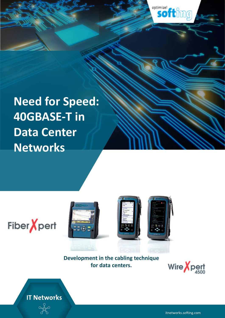





**Development in the cabling technique for data centers.**



optimize!

so

Him



itnetworks.softing.com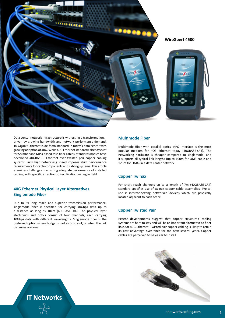

Data center network infrastructure is witnessing a transformation, driven by growing bandwidth and network performance demand. 10 Gigabit Ethernet is de-facto standard in today's data center with growing adoption of 40G. While 40G Ethernet standards already exist for SM fiber and MPO based MM fiber cables, standards bodies have developed 40GBASE-T Ethernet over twisted pair copper cabling systems. Such high networking speed imposes strict performance requirements for cable components and cabling systems. This article examines challenges in ensuring adequate performance of installed cabling, with specific attention to certification testing in field.

# **40G Ethernet Physical Layer Alternatives Singlemode Fiber**

**IT Networks** 

Due to its long reach and superior transmission performance, singlemode fiber is specified for carrying 40Gbps data up to a distance as long as 10km (40GBASE-LR4). The physical layer electronics and optics consist of four channels, each carrying 10Gbps data with different wavelengths. Singlemode fiber is the preferred option where budget is not a constraint, or when the link distances are long.

#### **Multimode Fiber**

Multimode fiber with parallel optics MPO interface is the most popular medium for 40G Ethernet today (40GBASE-SR4). The networking hardware is cheaper compared to singlemode, and it supports all typical link lengths (up to 100m for OM3 cable and 125m for OM4) in a data center network.

### **Copper Twinax**

For short reach channels up to a length of 7m (40GBASE-CR4) standard specifies use of twinax copper cable assemblies. Typical use is interconnecting networked devices which are physically located adjacent to each other.

#### **Copper Twisted Pair**

Recent developments suggest that copper structured cabling systems are here to stay and will be an important alternative to fiber links for 40G Ethernet. Twisted pair copper cabling is likely to retain its cost advantage over fiber for the next several years. Copper cables are perceived to be easier to install

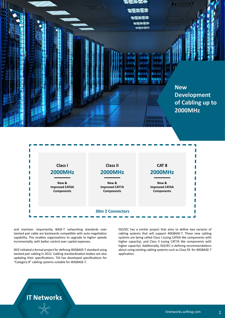**New Development of Cabling up to 2000MHz** 



and maintain. Importantly, BASE-T networking standards over twisted pair cable are backwards compatible with auto-negotiation capability. This enables organizations to upgrade to higher speeds incrementally, with better control over capital expenses.

IEEE initiated a formal project for defining 40GBASE-T standard using twisted pair cabling in 2012. Cabling standardization bodies are also updating their specifications. TIA has developed specifications for "Category 8" cabling systems suitable for 40GBASE-T.

**IT Networks** 

 $\frac{1}{\sqrt{6}}$ 

ISO/IEC has a similar project that aims to define two variants of cabling systems that will support 40GBASE-T. These new cabling systems are being called Class I (using CAT6A like components with higher capacity), and Class II (using CAT7A like components with higher capacity). Additionally, ISO/IEC is defining recommendations about using existing cabling systems such as Class FA for 40GBASE-T application.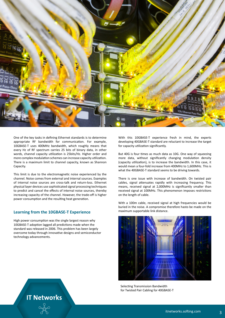

One of the key tasks in defining Ethernet standards is to determine appropriate RF bandwidth for communication. For example, 10GBASE-T uses 400MHz bandwidth, which roughly means that every Hz of RF spectrum carries 25 bits of binary data, in other words, channel capacity utilization is 25bits/Hz. Higher order and more complex modulation schemes can increase capacity utilization. There is a maximum limit to channel capacity, known as Shannon Capacity.

This limit is due to the electromagnetic noise experienced by the channel. Noise comes from external and internal sources. Examples of internal noise sources are cross-talk and return-loss. Ethernet physical layer devices use sophisticated signal processing techniques to predict and cancel the effects of internal noise sources, thereby increasing capacity of the channel. However, the trade-off is higher power consumption and the resulting heat generation.

#### **Learning from the 10GBASE-T Experience**

High power consumption was the single largest reason why 10GBASE-T adoption lagged all predictions made when the standard was released in 2006. This problem has been largely overcome today through innovative designs and semiconductor technology advancements.

With this 10GBASE-T experience fresh in mind, the experts developing 40GBASE-T standard are reluctant to increase the target for capacity utilization significantly.

But 40G is four times as much data as 10G. One way of squeezing more data, without significantly changing modulation density (capacity utilization), is to increase the bandwidth. In this case, it would mean a four-fold increase from 400MHz to 1,600MHz. This is what the 40GBASE-T standard seems to be driving towards.

There is one issue with increase of bandwidth. On twisted pair cables, signal attenuates rapidly with increasing frequency. This means, received signal at 2,000MHz is significantly smaller than received signal at 100MHz. This phenomenon imposes restrictions on the length of cable.

With a 100m cable, received signal at high frequencies would be buried in the noise. A compromise therefore hasto be made on the maximum supportable link distance.



Selecting Transmission Bandwidth for Twisted Pair Cabling for 40GBASE-T

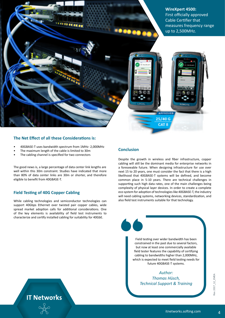

## **The Net Effect of all these Considerations is:**

- 40GBASE-T uses bandwidth spectrum from 1MHz- 2,000MHz
- The maximum length of the cable is limited to 30m
- The cabling channel is specified for two connectors

The good news is, a large percentage of data center link lengths are well within this 30m constraint. Studies have indicated that more than 80% of data center links are 30m or shorter, and therefore eligible to benefit from 40GBASE-T.

## **Field Testing of 40G Copper Cabling**

**IT Networks** 

While cabling technologies and semiconductor technologies can support 40Gbps Ethernet over twisted pair copper cables, wide spread market adoption calls for additional considerations. One of the key elements is availability of field test instruments to characterize and certify installed cabling for suitability for 40GbE.

#### **Conclusion**

Despite the growth in wireless and fiber infrastructure, copper cabling will still be the dominant media for enterprise networks in a foreseeable future. When designing infrastructure for use over next 15 to 20 years, one must consider the fact that there is a high likelihood that 40GBASE-T systems will be defined, and become common place in 5-10 years. There are technical challenges in supporting such high data rates, one of the main challenges being complexity of physical layer devices. In order to create a complete eco system for adoption of technologies like 40GBASE-T, the industry will need cabling systems, networking devices, standardization, and also field test instruments suitable for that technology.



Field testing over wider bandwidth has been constrained in the past due to several factors, but now at least one commercially available field tester features the capability of certifying cabling to bandwidths higher than 2,000MHz, which is expected to meet field testing needs for future 40GBASE-T systems.

> *Author: Thomas Hüsch, Technical Support & Training*